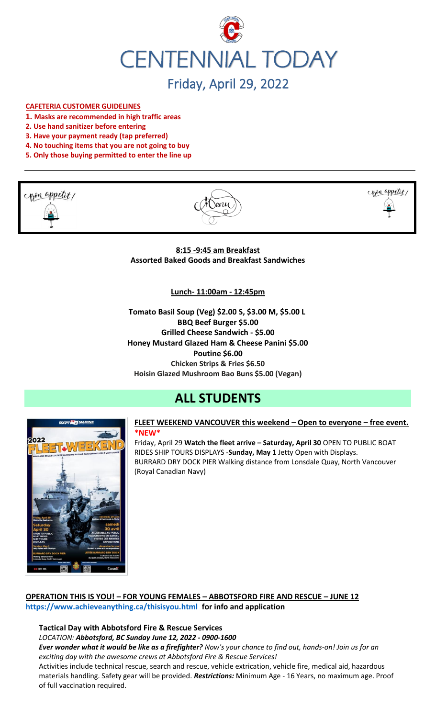

#### **CAFETERIA CUSTOMER GUIDELINES**

- **1. Masks are recommended in high traffic areas**
- **2. Use hand sanitizer before entering**
- **3. Have your payment ready (tap preferred)**
- **4. No touching items that you are not going to buy**
- **5. Only those buying permitted to enter the line up**







**8:15 -9:45 am Breakfast Assorted Baked Goods and Breakfast Sandwiches**

#### **Lunch- 11:00am - 12:45pm**

**Tomato Basil Soup (Veg) \$2.00 S, \$3.00 M, \$5.00 L BBQ Beef Burger \$5.00 Grilled Cheese Sandwich - \$5.00 Honey Mustard Glazed Ham & Cheese Panini \$5.00 Poutine \$6.00 Chicken Strips & Fries \$6.50 Hoisin Glazed Mushroom Bao Buns \$5.00 (Vegan)**

# **ALL STUDENTS**



#### **FLEET WEEKEND VANCOUVER this weekend – Open to everyone – free event. \*NEW\***

Friday, April 29 **Watch the fleet arrive – Saturday, April 30** OPEN TO PUBLIC BOAT RIDES SHIP TOURS DISPLAYS -**Sunday, May 1** Jetty Open with Displays. BURRARD DRY DOCK PIER Walking distance from Lonsdale Quay, North Vancouver (Royal Canadian Navy)

# **OPERATION THIS IS YOU! – FOR YOUNG FEMALES – ABBOTSFORD FIRE AND RESCUE – JUNE 12 <https://www.achieveanything.ca/thisisyou.html> for info and application**

# **Tactical Day with Abbotsford Fire & Rescue Services**

*LOCATION: Abbotsford, BC Sunday June 12, 2022 - 0900-1600*

*Ever wonder what it would be like as a firefighter? Now's your chance to find out, hands-on! Join us for an exciting day with the awesome crews at Abbotsford Fire & Rescue Services!* 

Activities include technical rescue, search and rescue, vehicle extrication, vehicle fire, medical aid, hazardous materials handling. Safety gear will be provided. *Restrictions:* Minimum Age - 16 Years, no maximum age. Proof of full vaccination required.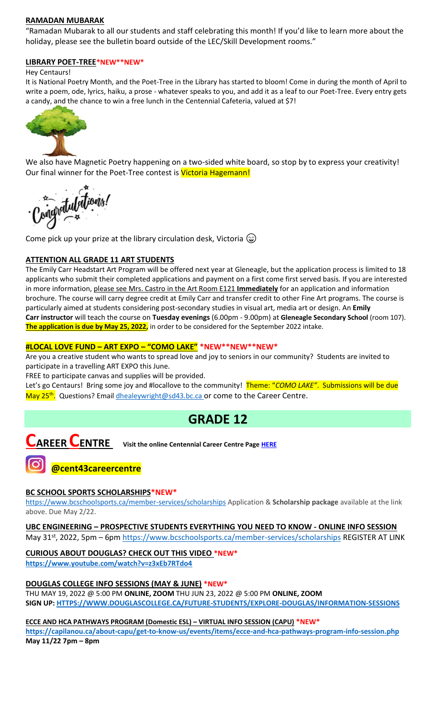#### **RAMADAN MUBARAK**

"Ramadan Mubarak to all our students and staff celebrating this month! If you'd like to learn more about the holiday, please see the bulletin board outside of the LEC/Skill Development rooms."

#### **LIBRARY POET-TREE\*NEW\*\*NEW\***

#### Hey Centaurs!

It is National Poetry Month, and the Poet-Tree in the Library has started to bloom! Come in during the month of April to write a poem, ode, lyrics, haiku, a prose - whatever speaks to you, and add it as a leaf to our Poet-Tree. Every entry gets a candy, and the chance to win a free lunch in the Centennial Cafeteria, valued at \$7!



We also have Magnetic Poetry happening on a two-sided white board, so stop by to express your creativity! Our final winner for the Poet-Tree contest is Victoria Hagemann!

gratulations!

Come pick up your prize at the library circulation desk, Victoria  $\circledast$ 

## **ATTENTION ALL GRADE 11 ART STUDENTS**

The Emily Carr Headstart Art Program will be offered next year at Gleneagle, but the application process is limited to 18 applicants who submit their completed applications and payment on a first come first served basis. If you are interested in more information, please see Mrs. Castro in the Art Room E121 **Immediately** for an application and information brochure. The course will carry degree credit at Emily Carr and transfer credit to other Fine Art programs. The course is particularly aimed at students considering post-secondary studies in visual art, media art or design. An **Emily Carr instructor** will teach the course on **Tuesday evenings** (6.00pm - 9.00pm) at **Gleneagle Secondary School** (room 107). **The application is due by May 25, 2022,** in order to be considered for the September 2022 intake.

## **#LOCAL LOVE FUND – ART EXPO – "COMO LAKE" \*NEW\*\*NEW\*\*NEW\***

Are you a creative student who wants to spread love and joy to seniors in our community? Students are invited to participate in a travelling ART EXPO this June.

FREE to participate canvas and supplies will be provided.

Let's go Centaurs! Bring some joy and #locallove to the community! Theme: "*COMO LAKE"*. Submissions will be due May 25<sup>th</sup>. Questions? Emai[l dhealeywright@sd43.bc.ca](mailto:dhealeywright@sd43.bc.ca) or come to the Career Centre.

# **GRADE 12**

# **CAREER CENTRE Visit the online Centennial Career Centre Page [HERE](https://www.sd43.bc.ca/school/centennial/ProgramsServices/CareerCentre/experiences/Pages/default.aspx#/=)**

# **@cent43careercentre**

## **BC SCHOOL SPORTS SCHOLARSHIPS\*NEW\***

<https://www.bcschoolsports.ca/member-services/scholarships> Application & **Scholarship package** available at the link above. Due May 2/22.

**UBC ENGINEERING – PROSPECTIVE STUDENTS EVERYTHING YOU NEED TO KNOW - ONLINE INFO SESSION** May 31<sup>st</sup>, 2022, 5pm – 6pm<https://www.bcschoolsports.ca/member-services/scholarships> REGISTER AT LINK

**CURIOUS ABOUT DOUGLAS? CHECK OUT THIS VIDEO \*NEW\* <https://www.youtube.com/watch?v=z3xEb7RTdo4>**

**DOUGLAS COLLEGE INFO SESSIONS (MAY & JUNE) \*NEW\*** THU MAY 19, 2022 @ 5:00 PM **ONLINE, ZOOM** THU JUN 23, 2022 @ 5:00 PM **ONLINE, ZOOM SIGN UP[: HTTPS://WWW.DOUGLASCOLLEGE.CA/FUTURE-STUDENTS/EXPLORE-DOUGLAS/INFORMATION-SESSIONS](https://www.douglascollege.ca/future-students/explore-douglas/information-sessions)**

**ECCE AND HCA PATHWAYS PROGRAM (Domestic ESL) – VIRTUAL INFO SESSION (CAPU) \*NEW\***

**<https://capilanou.ca/about-capu/get-to-know-us/events/items/ecce-and-hca-pathways-program-info-session.php> May 11/22 7pm – 8pm**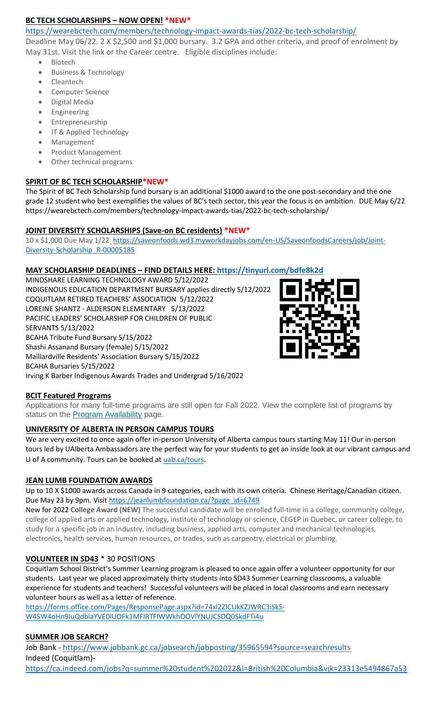## **BC TECH SCHOLARSHIPS – NOW OPEN! \*NEW[\\*](​https:/wearebctech.com/members/technology-impact-awards-tias/2022-bc-tech-scholarship/)**

[https://wearebctech.com/members/technology-impact-awards-tias/2022-bc-tech-scholarship/](​https:/wearebctech.com/members/technology-impact-awards-tias/2022-bc-tech-scholarship/)

Deadline May 06/22. 2 X \$2,500 and \$1,000 bursary. 3.2 GPA and other criteria, and proof of enrolment by May 31st. Visit the link or the Career centre. Eligible disciplines include:

- Biotech
- Business & Technology
- Cleantech
- Computer Science
- Digital Media
- **Engineering**
- **Entrepreneurship**
- IT & Applied Technology
- **Management**
- Product Management
- Other technical programs

# **SPIRIT OF BC TECH SCHOLARSHIP\*NEW\***

The Spirit of BC Tech Scholarship fund bursary is an additional \$1000 award to the one post-secondary and the one grade 12 student who best exemplifies the values of BC's tech sector, this year the focus is on ambition. DUE May 6/2[2](https://wearebctech.com/members/technology-impact-awards-tias/2022-bc-tech-scholarship/) <https://wearebctech.com/members/technology-impact-awards-tias/2022-bc-tech-scholarship/>

## **JOINT DIVERSITY SCHOLARSHIPS (Save-on BC residents) \*NEW\***

10 x \$1,000 Due May 1/22\_[https://saveonfoods.wd3.myworkdayjobs.com/en-US/SaveonfoodsCareers/job/Joint-](https://saveonfoods.wd3.myworkdayjobs.com/en-US/SaveonfoodsCareers/job/Joint-Diversity-Scholarship_R-00005185)[Diversity-Scholarship\\_R-00005185](https://saveonfoods.wd3.myworkdayjobs.com/en-US/SaveonfoodsCareers/job/Joint-Diversity-Scholarship_R-00005185)

# **MAY SCHOLARSHIP DEADLINES – FIND DETAILS HERE:<https://tinyurl.com/bdfe8k2d>**

MINDSHARE LEARNING TECHNOLOGY AWARD 5/12/2022 INDIGENOUS EDUCATION DEPARTMENT BURSARY applies directly 5/12/2022 COQUITLAM RETIRED TEACHERS' ASSOCIATION 5/12/2022 LOREINE SHANTZ - ALDERSON ELEMENTARY 5/13/2022 PACIFIC LEADERS' SCHOLARSHIP FOR CHILDREN OF PUBLIC SERVANTS 5/13/2022 BCAHA Tribute Fund Bursary 5/15/2022 Shashi Assanand Bursary (female) 5/15/2022 Maillardville Residents' Association Bursary 5/15/2022 BCAHA Bursaries 5/15/2022 Irving K Barber Indigenous Awards Trades and Undergrad 5/16/2022



# **BCIT Featured Programs**

Applications for many full-time programs are still open for Fall 2022. View the complete list of programs by status on the **[Program Availability](https://bcit.us8.list-manage.com/track/click?u=daf05330755626307efc8f07f&id=4d4ed36616&e=b29846f095)** page.

# **UNIVERSITY OF ALBERTA IN PERSON CAMPUS TOURS**

We are very excited to once again offer in-person University of Alberta campus tours starting May 11! Our in-person tours led by UAlberta Ambassadors are the perfect way for your students to get an inside look at our vibrant campus and U of A community. Tours can be booked at [uab.ca/tours](https://mx.technolutions.net/ss/c/gsby7xed_Q9kJKoUKuDGdBFBFhSssENYnEfiUuIzPCfFN0X3A85kPAIgyq7RiYgwd5ks3dapUcNxO2ND8vSVBYrkONj16vS1goC-KNmxqyzPGiP84ZPhBolxXehOVvJJoIydTyO79MzKzKWEvLKFkm_yV9EI63wdit-4TgQQwdxB7q-F7wKO6B1l7qPTTQqEY4-sfMYxk0jPxb8_vnjcU8J1KalNzAYWqvZsue4RhUs/3li/fiXawEMdS5CpVDRHZJ_kGA/h1/NOtRtynrGGfbhYYaY88O-aXOwt_ymLOenqdLtTeBrnQ).

# **JEAN LUMB FOUNDATION AWARDS**

Up to 10 X \$1000 awards across Canada in 9 categories, each with its own criteria. Chinese Heritage/Canadian citizen. Due May 23 by 9pm. Visi[t https://jeanlumbfoundation.ca/?page\\_id=6749](https://jeanlumbfoundation.ca/?page_id=6749)

New for 2022 **College Award (NEW)** The successful candidate will be enrolled full-time in a college, community college, college of applied arts or applied technology, institute of technology or science, CEGEP in Quebec, or career college, to study for a specific job in an industry, including business, applied arts, computer and mechanical technologies, electronics, health services, human resources, or trades, such as carpentry, electrical or plumbing.

# **VOLUNTEER IN SD43** \* 30 POSITIONS

Coquitlam School District's Summer Learning program is pleased to once again offer a volunteer opportunity for our students. Last year we placed approximately thirty students into SD43 Summer Learning classrooms, a valuable experience for students and teachers! Successful volunteers will be placed in local classrooms and earn necessary volunteer hours as well as a letter of reference.

[https://forms.office.com/Pages/ResponsePage.aspx?id=74xl2ZICUkKZJWRC3iSkS-](https://forms.office.com/Pages/ResponsePage.aspx?id=74xl2ZICUkKZJWRC3iSkS-W45W4oHn9IuQdblaYVE0lUOFk1MFlRTFlWWkhOOVlYNUJCSDQ0SkdFTi4u)[W45W4oHn9IuQdblaYVE0lUOFk1MFlRTFlWWkhOOVlYNUJCSDQ0SkdFTi4u](https://forms.office.com/Pages/ResponsePage.aspx?id=74xl2ZICUkKZJWRC3iSkS-W45W4oHn9IuQdblaYVE0lUOFk1MFlRTFlWWkhOOVlYNUJCSDQ0SkdFTi4u)

# **SUMMER JOB SEARCH?**

Job Bank - <https://www.jobbank.gc.ca/jobsearch/jobposting/35965594?source=searchresults> Indeed (Coquitlam) <https://ca.indeed.com/jobs?q=summer%20student%202022&l=British%20Columbia&vjk=23313e5494867a53>